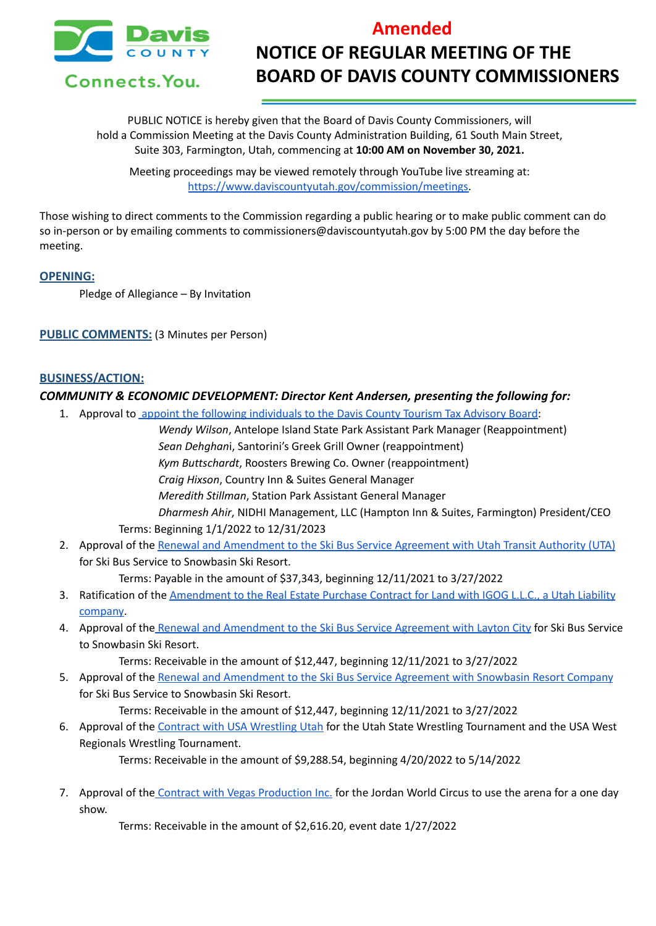

# **Amended NOTICE OF REGULAR MEETING OF THE BOARD OF DAVIS COUNTY COMMISSIONERS**

PUBLIC NOTICE is hereby given that the Board of Davis County Commissioners, will hold a Commission Meeting at the Davis County Administration Building, 61 South Main Street, Suite 303, Farmington, Utah, commencing at **10:00 AM on November 30, 2021.**

Meeting proceedings may be viewed remotely through YouTube live streaming at: [https://www.daviscountyutah.gov/commission/meetings.](https://www.daviscountyutah.gov/commission/meetings)

Those wishing to direct comments to the Commission regarding a public hearing or to make public comment can do so in-person or by emailing comments to commissioners@daviscountyutah.gov by 5:00 PM the day before the meeting.

#### **OPENING:**

Pledge of Allegiance – By Invitation

**PUBLIC COMMENTS:** (3 Minutes per Person)

#### **BUSINESS/ACTION:**

#### *COMMUNITY & ECONOMIC DEVELOPMENT: Director Kent Andersen, presenting the following for:*

- 1. Approval to appoint the following [individuals](https://drive.google.com/file/d/1jo2yHK91xMG6-fB5ExBEsbtPWgxIS3Hl/view?usp=sharing) to the Davis County Tourism Tax Advisory Board:
	- *Wendy Wilson*, Antelope Island State Park Assistant Park Manager (Reappointment) *Sean Dehghan*i, Santorini's Greek Grill Owner (reappointment) *Kym Buttschardt*, Roosters Brewing Co. Owner (reappointment) *Craig Hixson*, Country Inn & Suites General Manager *Meredith Stillman*, Station Park Assistant General Manager *Dharmesh Ahir*, NIDHI Management, LLC (Hampton Inn & Suites, Farmington) President/CEO Terms: Beginning 1/1/2022 to 12/31/2023
- 2. Approval of the Renewal and [Amendment](https://drive.google.com/file/d/1X1QjUSCg_I9nNSKPnClNN5nluMCXLfaJ/view?usp=sharing) to the Ski Bus Service Agreement with Utah Transit Authority (UTA) for Ski Bus Service to Snowbasin Ski Resort.

Terms: Payable in the amount of \$37,343, beginning 12/11/2021 to 3/27/2022

- 3. Ratification of the [Amendment](https://drive.google.com/file/d/1nyTn2k8be4Pa5SQC4pRE50AZLn7y2BS3/view?usp=sharing) to the Real Estate Purchase Contract for Land with IGOG L.L.C., a Utah Liability [company.](https://drive.google.com/file/d/1nyTn2k8be4Pa5SQC4pRE50AZLn7y2BS3/view?usp=sharing)
- 4. Approval of the Renewal and [Amendment](https://drive.google.com/file/d/1TOQxv8pxwzH99YabCTl9pfBH1U8Kqc4A/view?usp=sharing) to the Ski Bus Service Agreement with Layton City for Ski Bus Service to Snowbasin Ski Resort.

Terms: Receivable in the amount of \$12,447, beginning 12/11/2021 to 3/27/2022

5. Approval of the Renewal and [Amendment](https://drive.google.com/file/d/1HhAYnSca2zsY-KfBxPYYxJbzPF5AP_ao/view?usp=sharing) to the Ski Bus Service Agreement with Snowbasin Resort Company for Ski Bus Service to Snowbasin Ski Resort.

Terms: Receivable in the amount of \$12,447, beginning 12/11/2021 to 3/27/2022

6. Approval of the Contract with USA [Wrestling](https://drive.google.com/file/d/1-jW72HHPfox3GpdbKsAFnb8zS_pUDVO0/view?usp=sharing) Utah for the Utah State Wrestling Tournament and the USA West Regionals Wrestling Tournament.

Terms: Receivable in the amount of \$9,288.54, beginning 4/20/2022 to 5/14/2022

7. Approval of the Contract with Vegas [Production](https://drive.google.com/file/d/1GNJen4bwcijQ521e2yXZJhLfGaQkswkK/view?usp=sharing) Inc. for the Jordan World Circus to use the arena for a one day show.

Terms: Receivable in the amount of \$2,616.20, event date 1/27/2022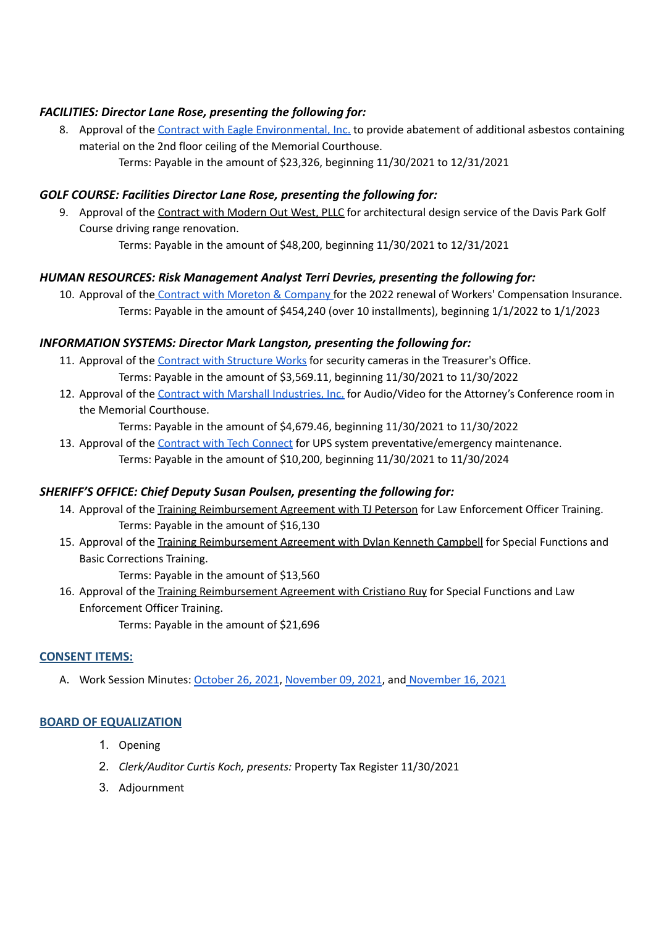# *FACILITIES: Director Lane Rose, presenting the following for:*

8. Approval of the Contract with Eagle [Environmental,](https://drive.google.com/file/d/1BiyvF4vrRUkLlMTS1GEI8qbULZsX7Isr/view?usp=sharing) Inc. to provide abatement of additional asbestos containing material on the 2nd floor ceiling of the Memorial Courthouse. Terms: Payable in the amount of \$23,326, beginning 11/30/2021 to 12/31/2021

#### *GOLF COURSE: Facilities Director Lane Rose, presenting the following for:*

9. Approval of the Contract with Modern Out West, PLLC for architectural design service of the Davis Park Golf Course driving range renovation.

Terms: Payable in the amount of \$48,200, beginning 11/30/2021 to 12/31/2021

# *HUMAN RESOURCES: Risk Management Analyst Terri Devries, presenting the following for:*

10. Approval of the Contract with Moreton & [Company](https://drive.google.com/file/d/1C3Fl_0pds6pPIqN2shtJ3Ut7PfgUQcps/view?usp=sharing) for the 2022 renewal of Workers' Compensation Insurance. Terms: Payable in the amount of \$454,240 (over 10 installments), beginning 1/1/2022 to 1/1/2023

# *INFORMATION SYSTEMS: Director Mark Langston, presenting the following for:*

- 11. Approval of the Contract with [Structure](https://drive.google.com/file/d/1YoBLcHTtCvWOYDJP1JlBgLppQQ_g_nMM/view?usp=sharing) Works for security cameras in the Treasurer's Office. Terms: Payable in the amount of \$3,569.11, beginning 11/30/2021 to 11/30/2022
- 12. Approval of the Contract with Marshall [Industries,](https://drive.google.com/file/d/16Q7BIcXbioUmDEuMMXtJWGTHQh-wglMn/view?usp=sharing) Inc. for Audio/Video for the Attorney's Conference room in the Memorial Courthouse.

Terms: Payable in the amount of \$4,679.46, beginning 11/30/2021 to 11/30/2022

13. Approval of the [Contract](https://drive.google.com/file/d/1vtSFcCBXubtGL3ApwnIev0S87sw5hmx_/view?usp=sharing) with Tech Connect for UPS system preventative/emergency maintenance. Terms: Payable in the amount of \$10,200, beginning 11/30/2021 to 11/30/2024

#### *SHERIFF'S OFFICE: Chief Deputy Susan Poulsen, presenting the following for:*

- 14. Approval of the Training Reimbursement Agreement with TJ Peterson for Law Enforcement Officer Training. Terms: Payable in the amount of \$16,130
- 15. Approval of the Training Reimbursement Agreement with Dylan Kenneth Campbell for Special Functions and Basic Corrections Training.

Terms: Payable in the amount of \$13,560

16. Approval of the Training Reimbursement Agreement with Cristiano Ruy for Special Functions and Law Enforcement Officer Training.

Terms: Payable in the amount of \$21,696

#### **CONSENT ITEMS:**

A. Work Session Minutes: [October](https://drive.google.com/file/d/1udsB9k4PoOv52MaGKBFv5n3kVNdDw7eU/view?usp=sharing) 26, 2021, [November](https://drive.google.com/file/d/1oCDQ5glNou79q3WJUZ5rLiK5MwKlZrTh/view?usp=sharing) 09, 2021, and [November](https://drive.google.com/file/d/1uVVBzzk3VZJltirMqUB2ChgXkKrFqIKR/view?usp=sharing) 16, 2021

# **BOARD OF EQUALIZATION**

- 1. Opening
- 2. *Clerk/Auditor Curtis Koch, presents:* Property Tax Register 11/30/2021
- 3. Adjournment